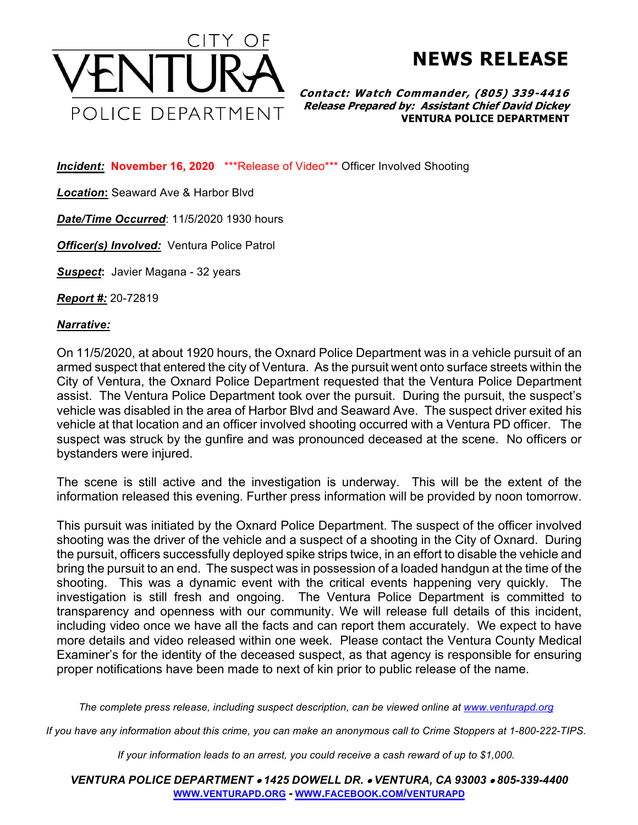

**NEWS RELEASE**

**Contact: Watch Commander, (805) 339-4416 Release Prepared by: Assistant Chief David Dickey VENTURA POLICE DEPARTMENT**

*Incident:* **November 16, 2020** \*\*\*Release of Video\*\*\* Officer Involved Shooting

*Location***:** Seaward Ave & Harbor Blvd

*Date/Time Occurred*: 11/5/2020 1930 hours

*Officer(s) Involved:* Ventura Police Patrol

*Suspect***:** Javier Magana - 32 years

*Report #:* 20-72819

*Narrative:* 

On 11/5/2020, at about 1920 hours, the Oxnard Police Department was in a vehicle pursuit of an armed suspect that entered the city of Ventura. As the pursuit went onto surface streets within the City of Ventura, the Oxnard Police Department requested that the Ventura Police Department assist. The Ventura Police Department took over the pursuit. During the pursuit, the suspect's vehicle was disabled in the area of Harbor Blvd and Seaward Ave. The suspect driver exited his vehicle at that location and an officer involved shooting occurred with a Ventura PD officer. The suspect was struck by the gunfire and was pronounced deceased at the scene. No officers or bystanders were injured.

The scene is still active and the investigation is underway. This will be the extent of the information released this evening. Further press information will be provided by noon tomorrow.

This pursuit was initiated by the Oxnard Police Department. The suspect of the officer involved shooting was the driver of the vehicle and a suspect of a shooting in the City of Oxnard. During the pursuit, officers successfully deployed spike strips twice, in an effort to disable the vehicle and bring the pursuit to an end. The suspect was in possession of a loaded handgun at the time of the shooting. This was a dynamic event with the critical events happening very quickly. The investigation is still fresh and ongoing. The Ventura Police Department is committed to transparency and openness with our community. We will release full details of this incident, including video once we have all the facts and can report them accurately. We expect to have more details and video released within one week. Please contact the Ventura County Medical Examiner's for the identity of the deceased suspect, as that agency is responsible for ensuring proper notifications have been made to next of kin prior to public release of the name.

*The complete press release, including suspect description, can be viewed online at www.venturapd.org*

*If you have any information about this crime, you can make an anonymous call to Crime Stoppers at 1-800-222-TIPS.*

*If your information leads to an arrest, you could receive a cash reward of up to \$1,000.*

*VENTURA POLICE DEPARTMENT* • *1425 DOWELL DR.* • *VENTURA, CA 93003* • *805-339-4400* **WWW.VENTURAPD.ORG** *-* **WWW.FACEBOOK.COM/VENTURAPD**